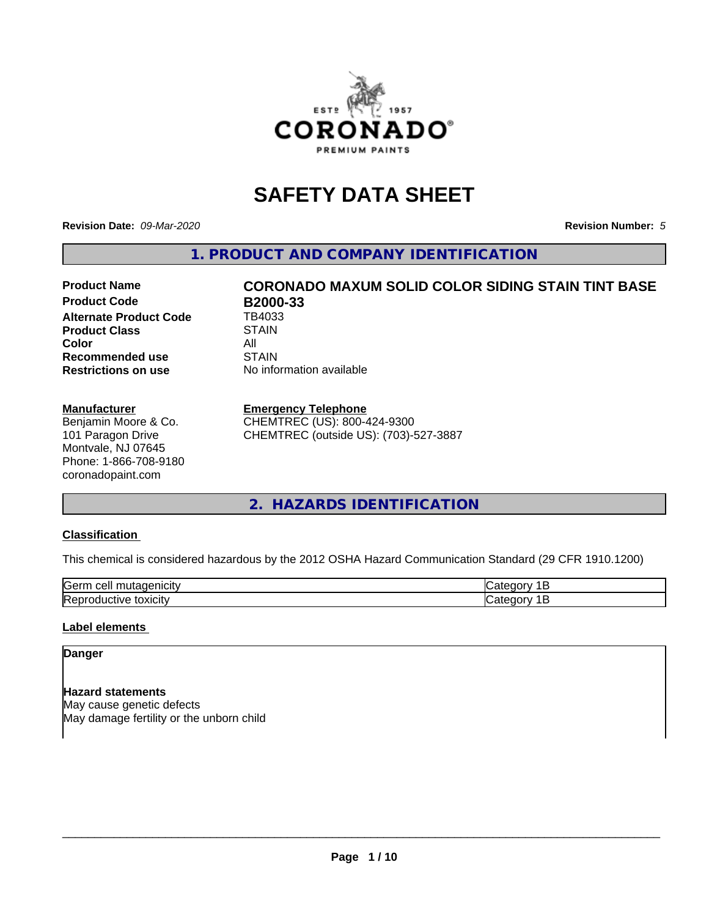

# **SAFETY DATA SHEET**

**Revision Date:** *09-Mar-2020* **Revision Number:** *5*

**1. PRODUCT AND COMPANY IDENTIFICATION**

# **Product Name CORONADO MAXUM SOLID COLOR SIDING STAIN TINT BASE**

**Product Code B2000-33**<br>Alternate Product Code TB4033 **Alternate Product Code Product Class STAIN Color** All All<br>**Recommended use** STAIN **Recommended use Restrictions on use** No information available

#### **Manufacturer**

Benjamin Moore & Co. 101 Paragon Drive Montvale, NJ 07645 Phone: 1-866-708-9180 coronadopaint.com

#### **Emergency Telephone**

CHEMTREC (US): 800-424-9300 CHEMTREC (outside US): (703)-527-3887

# **2. HAZARDS IDENTIFICATION**

#### **Classification**

This chemical is considered hazardous by the 2012 OSHA Hazard Communication Standard (29 CFR 1910.1200)

| -<br>$A + A$<br>eυ<br>ш |  |
|-------------------------|--|
| .<br>- -<br>ʻICL<br>-   |  |

#### **Label elements**

#### **Danger**

**Hazard statements** May cause genetic defects May damage fertility or the unborn child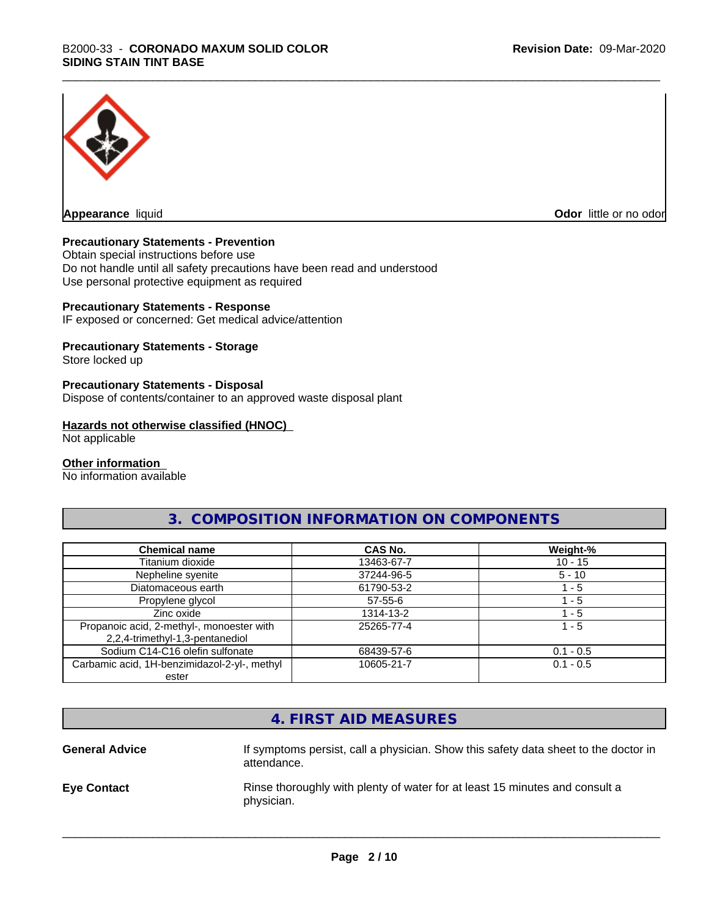

**Appearance** liquid **Odor in the original of the original of the original of the original of the original of the original of the original of the original of the original of the original of the original of the original of t** 

#### **Precautionary Statements - Prevention**

Obtain special instructions before use Do not handle until all safety precautions have been read and understood Use personal protective equipment as required

#### **Precautionary Statements - Response**

IF exposed or concerned: Get medical advice/attention

#### **Precautionary Statements - Storage**

Store locked up

#### **Precautionary Statements - Disposal**

Dispose of contents/container to an approved waste disposal plant

#### **Hazards not otherwise classified (HNOC)**

Not applicable

#### **Other information**

No information available

# **3. COMPOSITION INFORMATION ON COMPONENTS**

| <b>Chemical name</b>                                                         | CAS No.       | Weight-%    |
|------------------------------------------------------------------------------|---------------|-------------|
| Titanium dioxide                                                             | 13463-67-7    | $10 - 15$   |
| Nepheline syenite                                                            | 37244-96-5    | $5 - 10$    |
| Diatomaceous earth                                                           | 61790-53-2    | l - 5       |
| Propylene glycol                                                             | $57 - 55 - 6$ | $-5$        |
| Zinc oxide                                                                   | 1314-13-2     | 1 - 5       |
| Propanoic acid, 2-methyl-, monoester with<br>2,2,4-trimethyl-1,3-pentanediol | 25265-77-4    | 1 - 5       |
| Sodium C14-C16 olefin sulfonate                                              | 68439-57-6    | $0.1 - 0.5$ |
| Carbamic acid, 1H-benzimidazol-2-yl-, methyl<br>ester                        | 10605-21-7    | $0.1 - 0.5$ |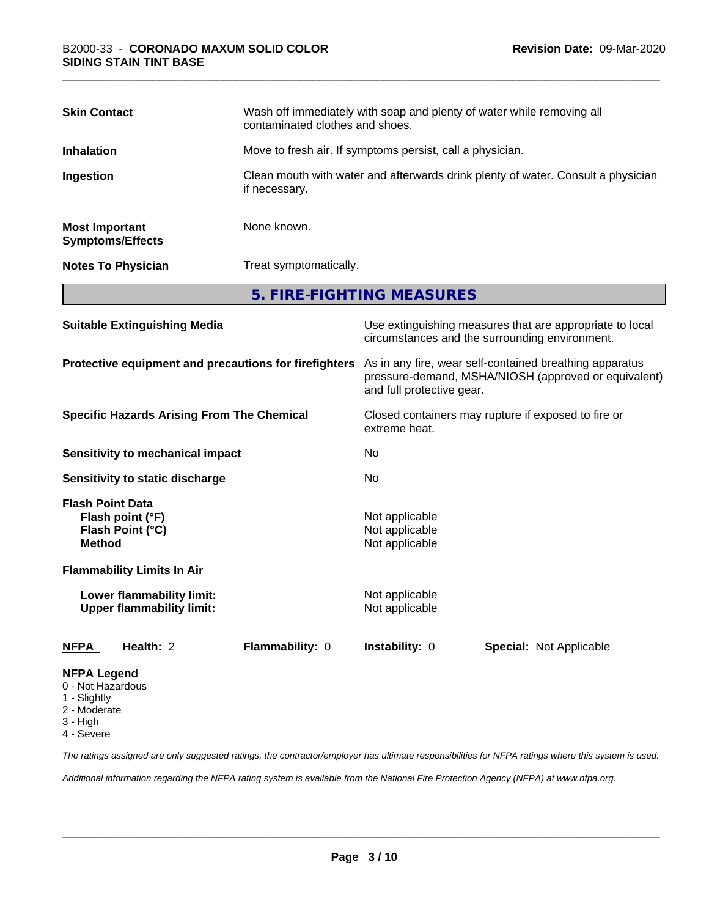| <b>Skin Contact</b>                              | Wash off immediately with soap and plenty of water while removing all<br>contaminated clothes and shoes. |
|--------------------------------------------------|----------------------------------------------------------------------------------------------------------|
| <b>Inhalation</b>                                | Move to fresh air. If symptoms persist, call a physician.                                                |
| Ingestion                                        | Clean mouth with water and afterwards drink plenty of water. Consult a physician<br>if necessary.        |
| <b>Most Important</b><br><b>Symptoms/Effects</b> | None known.                                                                                              |
| <b>Notes To Physician</b>                        | Treat symptomatically.                                                                                   |
|                                                  | 5. FIRE-FIGHTING MEASURES                                                                                |

| <b>Suitable Extinguishing Media</b>                                              | Use extinguishing measures that are appropriate to local<br>circumstances and the surrounding environment.                                   |  |  |
|----------------------------------------------------------------------------------|----------------------------------------------------------------------------------------------------------------------------------------------|--|--|
| Protective equipment and precautions for firefighters                            | As in any fire, wear self-contained breathing apparatus<br>pressure-demand, MSHA/NIOSH (approved or equivalent)<br>and full protective gear. |  |  |
| <b>Specific Hazards Arising From The Chemical</b>                                | Closed containers may rupture if exposed to fire or<br>extreme heat.                                                                         |  |  |
| Sensitivity to mechanical impact                                                 | No                                                                                                                                           |  |  |
| Sensitivity to static discharge                                                  | N <sub>0</sub>                                                                                                                               |  |  |
| <b>Flash Point Data</b><br>Flash point (°F)<br>Flash Point (°C)<br><b>Method</b> | Not applicable<br>Not applicable<br>Not applicable                                                                                           |  |  |
| <b>Flammability Limits In Air</b>                                                |                                                                                                                                              |  |  |
| Lower flammability limit:<br><b>Upper flammability limit:</b>                    | Not applicable<br>Not applicable                                                                                                             |  |  |
| Health: 2<br>Flammability: 0<br><b>NFPA</b>                                      | <b>Instability: 0</b><br><b>Special: Not Applicable</b>                                                                                      |  |  |
| <b>NFPA Legend</b><br>0 - Not Hazardous<br>1 - Slightly                          |                                                                                                                                              |  |  |

- 2 Moderate
- 
- 3 High

4 - Severe

*The ratings assigned are only suggested ratings, the contractor/employer has ultimate responsibilities for NFPA ratings where this system is used.*

*Additional information regarding the NFPA rating system is available from the National Fire Protection Agency (NFPA) at www.nfpa.org.*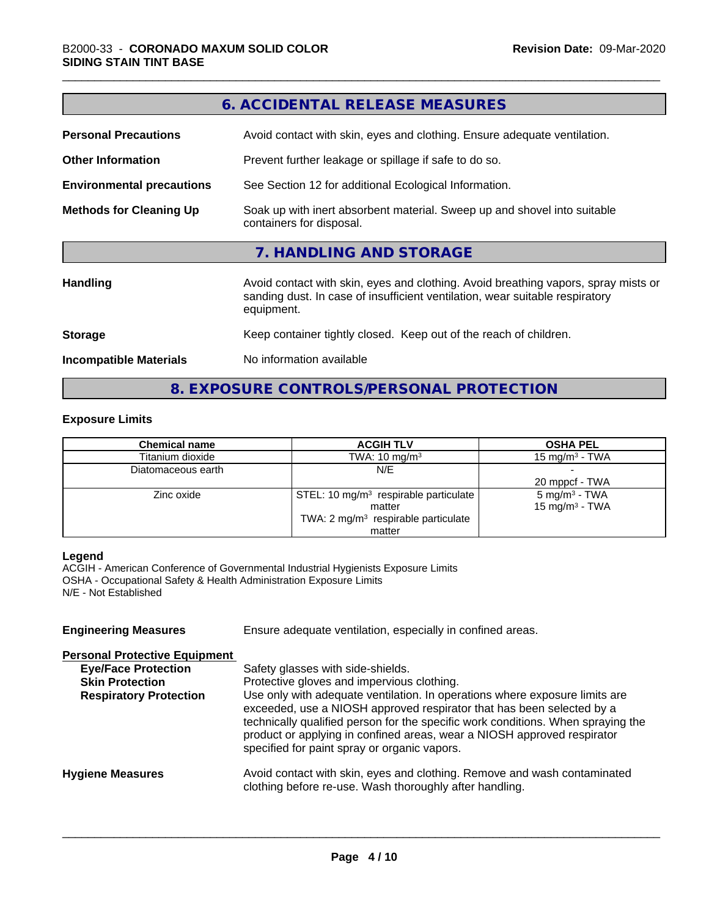|                                  | 6. ACCIDENTAL RELEASE MEASURES                                                                                                                                                   |  |  |
|----------------------------------|----------------------------------------------------------------------------------------------------------------------------------------------------------------------------------|--|--|
| <b>Personal Precautions</b>      | Avoid contact with skin, eyes and clothing. Ensure adequate ventilation.                                                                                                         |  |  |
| <b>Other Information</b>         | Prevent further leakage or spillage if safe to do so.                                                                                                                            |  |  |
| <b>Environmental precautions</b> | See Section 12 for additional Ecological Information.                                                                                                                            |  |  |
| <b>Methods for Cleaning Up</b>   | Soak up with inert absorbent material. Sweep up and shovel into suitable<br>containers for disposal.                                                                             |  |  |
|                                  | 7. HANDLING AND STORAGE                                                                                                                                                          |  |  |
| Handling                         | Avoid contact with skin, eyes and clothing. Avoid breathing vapors, spray mists or<br>sanding dust. In case of insufficient ventilation, wear suitable respiratory<br>equipment. |  |  |
| <b>Storage</b>                   | Keep container tightly closed. Keep out of the reach of children.                                                                                                                |  |  |
| <b>Incompatible Materials</b>    | No information available                                                                                                                                                         |  |  |
|                                  |                                                                                                                                                                                  |  |  |

**6. ACCIDENTAL RELEASE MEASURES**

**8. EXPOSURE CONTROLS/PERSONAL PROTECTION**

#### **Exposure Limits**

| <b>Chemical name</b> | <b>OSHA PEL</b><br><b>ACGIH TLV</b>               |                            |
|----------------------|---------------------------------------------------|----------------------------|
| Titanium dioxide     | TWA: $10 \text{ mg/m}^3$                          | 15 mg/m $3$ - TWA          |
| Diatomaceous earth   | N/E                                               |                            |
|                      |                                                   | 20 mppcf - TWA             |
| Zinc oxide           | STEL: 10 mg/m <sup>3</sup> respirable particulate | $5 \text{ mg/m}^3$ - TWA   |
|                      | matter                                            | 15 mg/m <sup>3</sup> - TWA |
|                      | TWA: 2 mg/m <sup>3</sup> respirable particulate   |                            |
|                      | matter                                            |                            |

#### **Legend**

ACGIH - American Conference of Governmental Industrial Hygienists Exposure Limits OSHA - Occupational Safety & Health Administration Exposure Limits N/E - Not Established

| Ensure adequate ventilation, especially in confined areas.                                                                                                                                                                                                                                                                                                          |  |  |
|---------------------------------------------------------------------------------------------------------------------------------------------------------------------------------------------------------------------------------------------------------------------------------------------------------------------------------------------------------------------|--|--|
|                                                                                                                                                                                                                                                                                                                                                                     |  |  |
| Safety glasses with side-shields.                                                                                                                                                                                                                                                                                                                                   |  |  |
| Protective gloves and impervious clothing.                                                                                                                                                                                                                                                                                                                          |  |  |
| Use only with adequate ventilation. In operations where exposure limits are<br>exceeded, use a NIOSH approved respirator that has been selected by a<br>technically qualified person for the specific work conditions. When spraying the<br>product or applying in confined areas, wear a NIOSH approved respirator<br>specified for paint spray or organic vapors. |  |  |
| Avoid contact with skin, eyes and clothing. Remove and wash contaminated<br>clothing before re-use. Wash thoroughly after handling.                                                                                                                                                                                                                                 |  |  |
|                                                                                                                                                                                                                                                                                                                                                                     |  |  |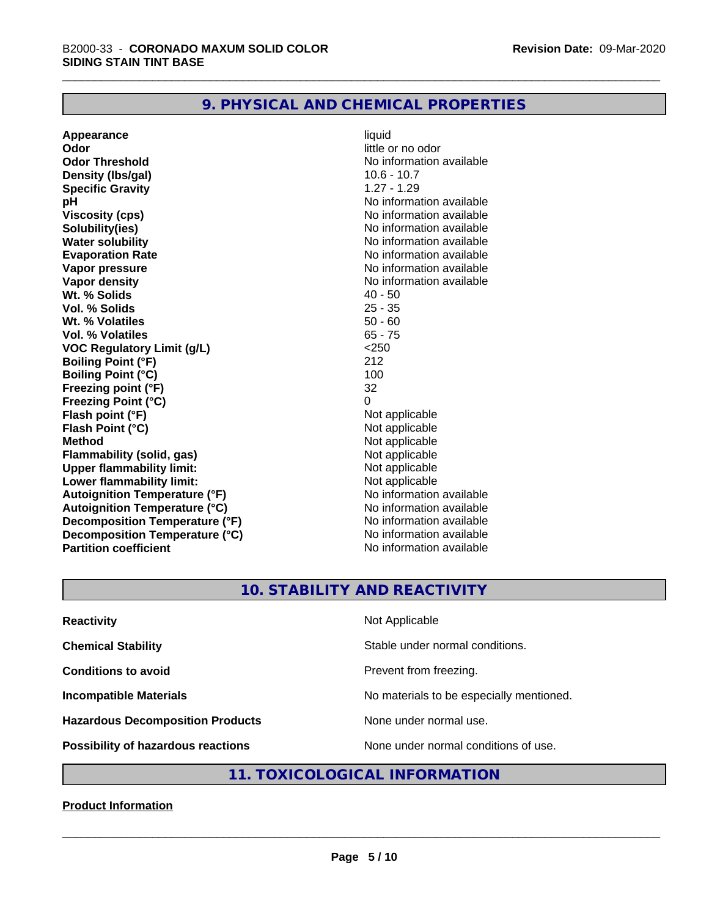# **9. PHYSICAL AND CHEMICAL PROPERTIES**

**Appearance** liquid **Odor** little or no odor **Odor Threshold No information available No information available Density (lbs/gal)** 10.6 - 10.7 **Specific Gravity** 1.27 - 1.29 **pH** No information available **Viscosity (cps)** No information available **Solubility(ies)** No information available **Water solubility**<br> **Evaporation Rate**<br> **Evaporation Rate**<br> **Evaporation Rate Vapor pressure** No information available **Vapor density**<br> **We Solids** (*We Solids* ) and the setting of the setting of the setting of the setting of the setting of the setting of the setting of the setting of the setting of the setting of the setting of the setti **Wt. % Solids** 40 - 50<br> **Vol. % Solids** 25 - 35 **Vol. % Solids Wt.** % Volatiles 50 - 60 **Vol. % Volatiles** 65 - 75 **VOC Regulatory Limit (g/L)** <250 **Boiling Point (°F)** 212 **Boiling Point (°C)** 100 **Freezing point (°F)** 32 **Freezing Point (°C)** 0 **Flash point (°F)**<br> **Flash Point (°C)**<br> **Flash Point (°C)**<br> **Not** applicable **Flash Point (°C) Method**<br> **Flammability (solid, gas)**<br> **Example 2018** Not applicable **Flammability** (solid, gas) **Upper flammability limit:**<br> **Lower flammability limit:**<br>
Not applicable<br>
Not applicable **Lower flammability limit:**<br> **Autoignition Temperature (°F)** Not applicable have not available **Autoignition Temperature (°F) Autoignition Temperature (°C)** No information available **Decomposition Temperature (°F)** No information available **Decomposition Temperature (°C)** No information available **Partition coefficient Contract Community No information available** 

**Evaporation Rate** No information available

# **10. STABILITY AND REACTIVITY**

| <b>Reactivity</b>                       | Not Applicable                           |
|-----------------------------------------|------------------------------------------|
| <b>Chemical Stability</b>               | Stable under normal conditions.          |
| <b>Conditions to avoid</b>              | Prevent from freezing.                   |
| <b>Incompatible Materials</b>           | No materials to be especially mentioned. |
| <b>Hazardous Decomposition Products</b> | None under normal use.                   |
| Possibility of hazardous reactions      | None under normal conditions of use.     |

#### **11. TOXICOLOGICAL INFORMATION**

#### **Product Information**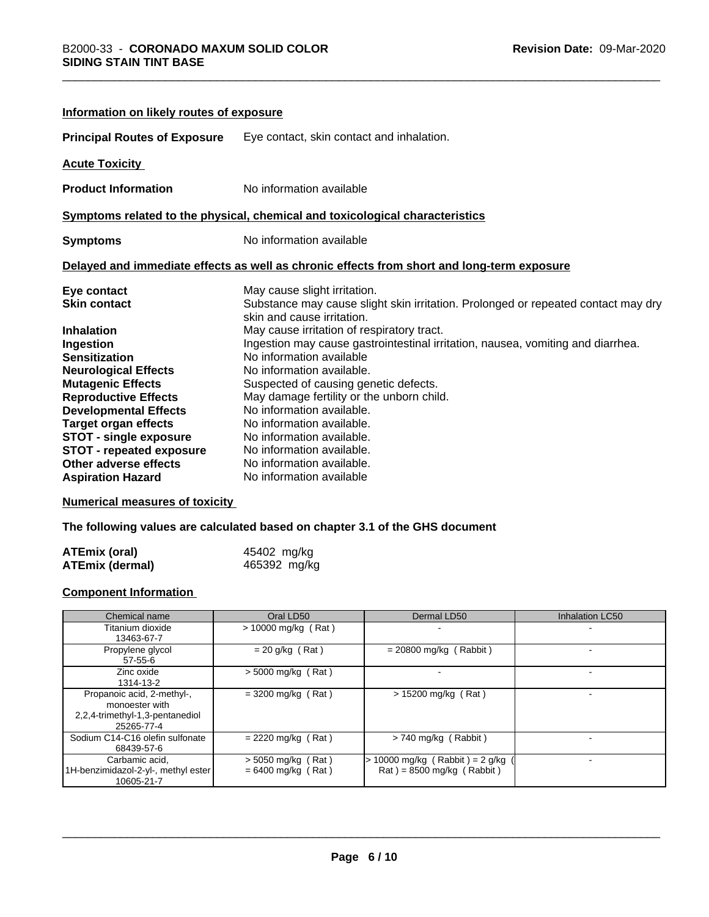| Information on likely routes of exposure |                                                                                                                 |
|------------------------------------------|-----------------------------------------------------------------------------------------------------------------|
| <b>Principal Routes of Exposure</b>      | Eye contact, skin contact and inhalation.                                                                       |
| <b>Acute Toxicity</b>                    |                                                                                                                 |
| <b>Product Information</b>               | No information available                                                                                        |
|                                          | Symptoms related to the physical, chemical and toxicological characteristics                                    |
| <b>Symptoms</b>                          | No information available                                                                                        |
|                                          | Delayed and immediate effects as well as chronic effects from short and long-term exposure                      |
| Eye contact                              | May cause slight irritation.                                                                                    |
| <b>Skin contact</b>                      | Substance may cause slight skin irritation. Prolonged or repeated contact may dry<br>skin and cause irritation. |
| <b>Inhalation</b>                        | May cause irritation of respiratory tract.                                                                      |
| Ingestion                                | Ingestion may cause gastrointestinal irritation, nausea, vomiting and diarrhea.                                 |
| <b>Sensitization</b>                     | No information available                                                                                        |
| <b>Neurological Effects</b>              | No information available.                                                                                       |
| <b>Mutagenic Effects</b>                 | Suspected of causing genetic defects.                                                                           |
| <b>Reproductive Effects</b>              | May damage fertility or the unborn child.                                                                       |
| <b>Developmental Effects</b>             | No information available.                                                                                       |
| <b>Target organ effects</b>              | No information available.                                                                                       |
| <b>STOT - single exposure</b>            | No information available.                                                                                       |
| <b>STOT - repeated exposure</b>          | No information available.                                                                                       |
| <b>Other adverse effects</b>             | No information available.                                                                                       |
| <b>Aspiration Hazard</b>                 | No information available                                                                                        |

#### **Numerical measures of toxicity**

**The following values are calculated based on chapter 3.1 of the GHS document**

| ATEmix (oral)   | 45402 mg/kg  |
|-----------------|--------------|
| ATEmix (dermal) | 465392 mg/kg |

#### **Component Information**

| Chemical name                                                                                 | Oral LD50                                    | Dermal LD50                                                                        | Inhalation LC50 |
|-----------------------------------------------------------------------------------------------|----------------------------------------------|------------------------------------------------------------------------------------|-----------------|
| Titanium dioxide<br>13463-67-7                                                                | $> 10000$ mg/kg (Rat)                        |                                                                                    |                 |
| Propylene glycol<br>$57 - 55 - 6$                                                             | $= 20$ g/kg (Rat)                            | $= 20800$ mg/kg (Rabbit)                                                           |                 |
| Zinc oxide<br>1314-13-2                                                                       | $>$ 5000 mg/kg (Rat)                         |                                                                                    |                 |
| Propanoic acid, 2-methyl-,<br>monoester with<br>2,2,4-trimethyl-1,3-pentanediol<br>25265-77-4 | $=$ 3200 mg/kg (Rat)                         | $> 15200$ mg/kg (Rat)                                                              |                 |
| Sodium C14-C16 olefin sulfonate<br>68439-57-6                                                 | $= 2220$ mg/kg (Rat)                         | > 740 mg/kg (Rabbit)                                                               |                 |
| Carbamic acid,<br>1H-benzimidazol-2-yl-, methyl ester<br>10605-21-7                           | $>$ 5050 mg/kg (Rat)<br>$= 6400$ mg/kg (Rat) | 10000 mg/kg (Rabbit) = $2$ g/kg<br>$\text{Rat}$ ) = 8500 mg/kg ( $\text{Rabbit}$ ) |                 |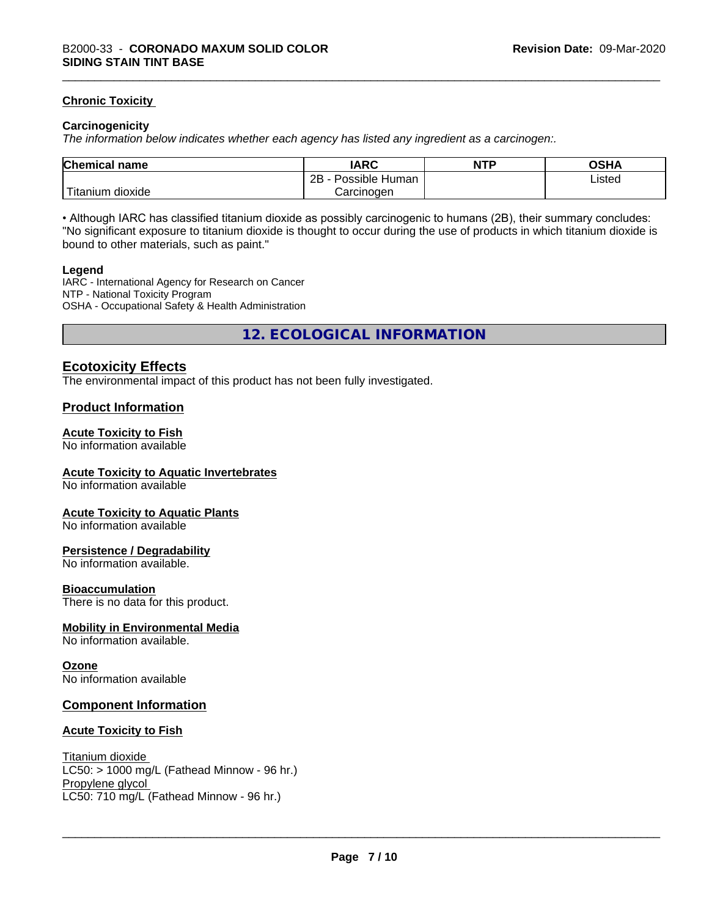#### **Chronic Toxicity**

#### **Carcinogenicity**

*The information below indicateswhether each agency has listed any ingredient as a carcinogen:.*

| <b>Chemical</b><br>name    | <b>IARC</b>                    | <b>NTP</b> | OSHA   |
|----------------------------|--------------------------------|------------|--------|
|                            | . .<br>2B<br>Human<br>Possible |            | Listed |
| .<br>. dioxide<br>⊺itanium | Carcinogen                     |            |        |

• Although IARC has classified titanium dioxide as possibly carcinogenic to humans (2B), their summary concludes: "No significant exposure to titanium dioxide is thought to occur during the use of products in which titanium dioxide is bound to other materials, such as paint."

#### **Legend**

IARC - International Agency for Research on Cancer NTP - National Toxicity Program OSHA - Occupational Safety & Health Administration

**12. ECOLOGICAL INFORMATION**

#### **Ecotoxicity Effects**

The environmental impact of this product has not been fully investigated.

#### **Product Information**

#### **Acute Toxicity to Fish**

No information available

#### **Acute Toxicity to Aquatic Invertebrates**

No information available

#### **Acute Toxicity to Aquatic Plants**

No information available

#### **Persistence / Degradability**

No information available.

#### **Bioaccumulation**

There is no data for this product.

#### **Mobility in Environmental Media**

No information available.

#### **Ozone**

No information available

#### **Component Information**

#### **Acute Toxicity to Fish**

Titanium dioxide  $LC50:$  > 1000 mg/L (Fathead Minnow - 96 hr.) Propylene glycol \_\_\_\_\_\_\_\_\_\_\_\_\_\_\_\_\_\_\_\_\_\_\_\_\_\_\_\_\_\_\_\_\_\_\_\_\_\_\_\_\_\_\_\_\_\_\_\_\_\_\_\_\_\_\_\_\_\_\_\_\_\_\_\_\_\_\_\_\_\_\_\_\_\_\_\_\_\_\_\_\_\_\_\_\_\_\_\_\_\_\_\_\_ LC50: 710 mg/L (Fathead Minnow - 96 hr.)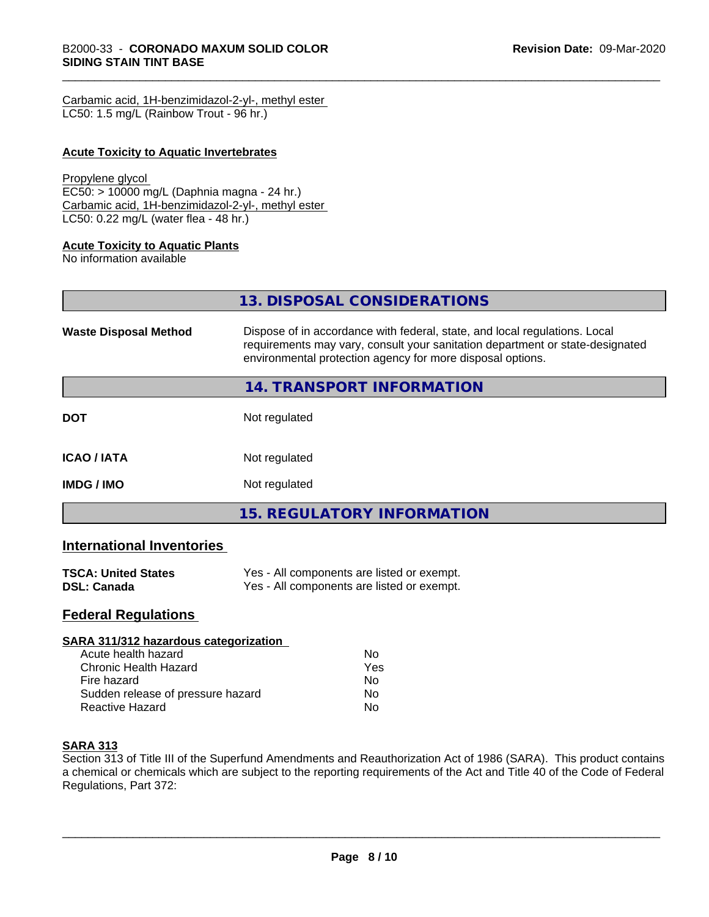| Carbamic acid, 1H-benzimidazol-2-yl-, methyl ester |  |
|----------------------------------------------------|--|
| LC50: 1.5 mg/L (Rainbow Trout - 96 hr.)            |  |

#### **Acute Toxicity to Aquatic Invertebrates**

#### Propylene glycol

EC50: > 10000 mg/L (Daphnia magna - 24 hr.) Carbamic acid, 1H-benzimidazol-2-yl-, methyl ester LC50: 0.22 mg/L (water flea - 48 hr.)

#### **Acute Toxicity to Aquatic Plants**

No information available

**13. DISPOSAL CONSIDERATIONS Waste Disposal Method** Dispose of in accordance with federal, state, and local regulations. Local requirements may vary, consult your sanitation department or state-designated environmental protection agency for more disposal options. **14. TRANSPORT INFORMATION DOT** Not regulated **ICAO / IATA** Not regulated **IMDG / IMO** Not regulated **15. REGULATORY INFORMATION**

#### **International Inventories**

| <b>TSCA: United States</b> | Yes - All components are listed or exempt. |
|----------------------------|--------------------------------------------|
| <b>DSL: Canada</b>         | Yes - All components are listed or exempt. |

## **Federal Regulations**

| SARA 311/312 hazardous categorization |     |  |
|---------------------------------------|-----|--|
| Acute health hazard                   | Nο  |  |
| Chronic Health Hazard                 | Yes |  |
| Fire hazard                           | Nο  |  |
| Sudden release of pressure hazard     | Nο  |  |
| <b>Reactive Hazard</b>                | No  |  |

### **SARA 313**

Section 313 of Title III of the Superfund Amendments and Reauthorization Act of 1986 (SARA). This product contains a chemical or chemicals which are subject to the reporting requirements of the Act and Title 40 of the Code of Federal Regulations, Part 372: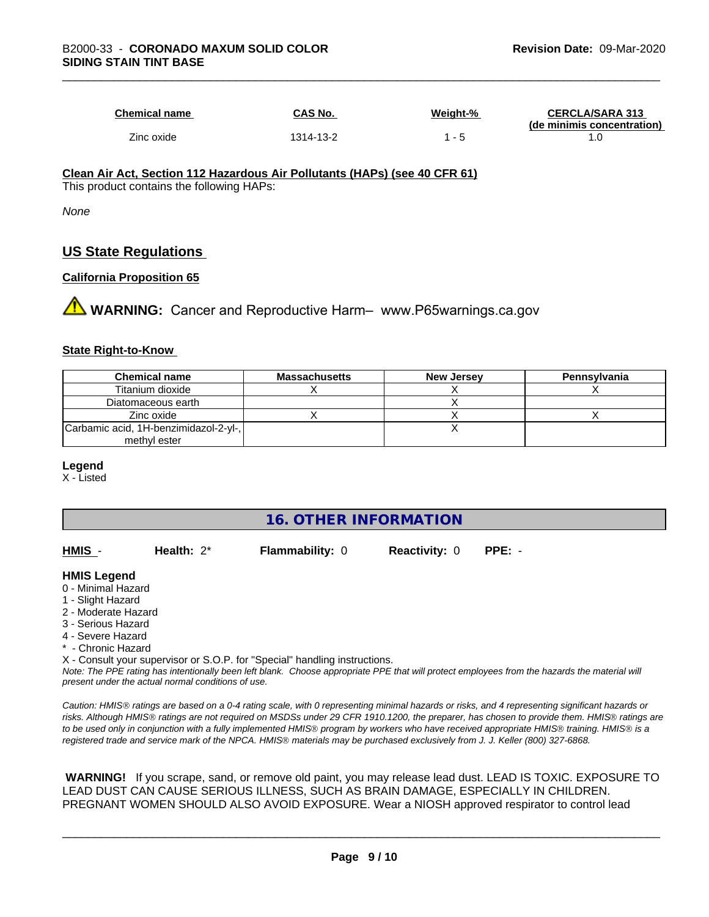| Chemical name | <b>CAS No.</b> | Weiaht-% | <b>CERCLA/SARA 313</b><br>(de minimis concentration) |
|---------------|----------------|----------|------------------------------------------------------|
| Zinc oxide    | 1314-13-2      |          |                                                      |

#### **Clean Air Act,Section 112 Hazardous Air Pollutants (HAPs) (see 40 CFR 61)** This product contains the following HAPs:

*None*

# **US State Regulations**

#### **California Proposition 65**

**AVIMARNING:** Cancer and Reproductive Harm– www.P65warnings.ca.gov

#### **State Right-to-Know**

| <b>Chemical name</b>                  | <b>Massachusetts</b> | <b>New Jersey</b> | Pennsylvania |
|---------------------------------------|----------------------|-------------------|--------------|
| Titanium dioxide                      |                      |                   |              |
| Diatomaceous earth                    |                      |                   |              |
| Zinc oxide                            |                      |                   |              |
| Carbamic acid, 1H-benzimidazol-2-yl-, |                      |                   |              |
| methyl ester                          |                      |                   |              |

#### **Legend**

X - Listed

# **16. OTHER INFORMATION**

| HMIS | Health: $2^*$ | <b>Flammability: 0</b> | <b>Reactivity: 0</b> | PPE: - |
|------|---------------|------------------------|----------------------|--------|
|      |               |                        |                      |        |

#### **HMIS Legend**

- 0 Minimal Hazard
- 1 Slight Hazard
- 2 Moderate Hazard
- 3 Serious Hazard
- 4 Severe Hazard
- Chronic Hazard
- X Consult your supervisor or S.O.P. for "Special" handling instructions.

*Note: The PPE rating has intentionally been left blank. Choose appropriate PPE that will protect employees from the hazards the material will present under the actual normal conditions of use.*

*Caution: HMISÒ ratings are based on a 0-4 rating scale, with 0 representing minimal hazards or risks, and 4 representing significant hazards or risks. Although HMISÒ ratings are not required on MSDSs under 29 CFR 1910.1200, the preparer, has chosen to provide them. HMISÒ ratings are to be used only in conjunction with a fully implemented HMISÒ program by workers who have received appropriate HMISÒ training. HMISÒ is a registered trade and service mark of the NPCA. HMISÒ materials may be purchased exclusively from J. J. Keller (800) 327-6868.*

 **WARNING!** If you scrape, sand, or remove old paint, you may release lead dust. LEAD IS TOXIC. EXPOSURE TO LEAD DUST CAN CAUSE SERIOUS ILLNESS, SUCH AS BRAIN DAMAGE, ESPECIALLY IN CHILDREN. PREGNANT WOMEN SHOULD ALSO AVOID EXPOSURE.Wear a NIOSH approved respirator to control lead